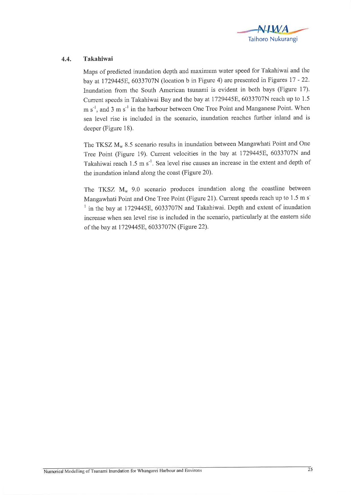

## 4.4. Takahiwai

Maps of predicted inundation depth and maximum water speed for Takahiwai and the bay at 1729445E, 6033707N (location b in Figure 4) are presented in Figures 17 - 22. Inundation from the South American tsunami is evident in both bays (Figure l7). Current speeds in Takahiwai Bay and the bay at 1729445E, 6033707N reach up to 1.5  $m s<sup>-1</sup>$ , and 3 m s<sup>-1</sup> in the harbour between One Tree Point and Manganese Point. When sea level rise is included in the scenario, inundation reaches further inland and is deeper (Figure 18).

The TKSZ  $M_w$  8.5 scenario results in inundation between Mangawhati Point and One Tree Point (Figure 19). Current velocities in the bay at 1729445E, 6033707N and Takahiwai reach 1.5  $\text{m s}^{-1}$ . Sea level rise causes an increase in the extent and depth of the inundation inland along the coast (Figure 20).

The TKSZ  $M_w$  9.0 scenario produces inundation along the coastline between Mangawhati Point and One Tree Point (Figure 21). Current speeds reach up to 1.5 m s<sup>-</sup>  $1$  in the bay at 1729445E, 6033707N and Takahiwai. Depth and extent of inundation increase when sea level rise is included in the scenario, particularly at the eastern side of the bay at 1729445E, 6033707N (Figure 22).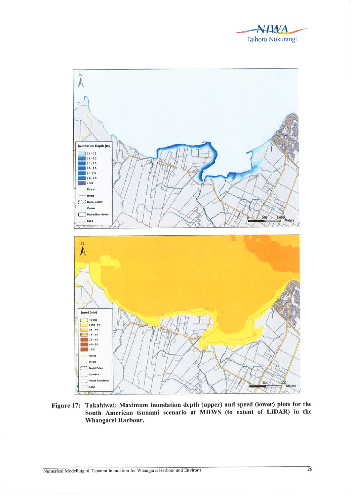



Figure 17: Takahiwai: Maximum inundation depth (upper) and speed (lower) plots for the South American tsunami scenario at MHWS (to extent of LIDAR) in the Whangarei Harbour.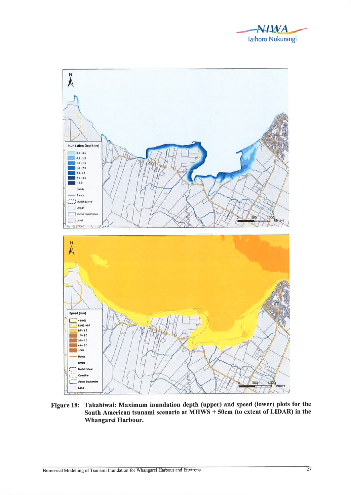



Figure 18: Takahiwai: Maximum inundation depth (upper) and speed (lower) plots for the South American tsunami scenario at MHWS + 50cm (to extent of LIDAR) in the Whangarei Harbour.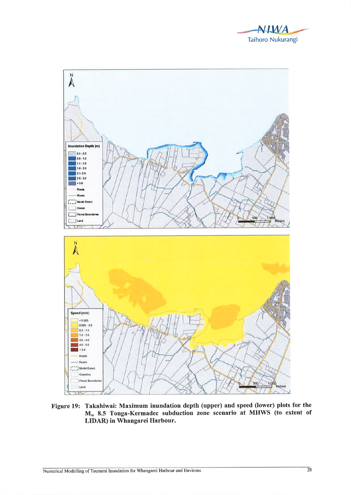



Figure 19: Takahiwai: Maximum inundation depth (upper) and speed (lower) plots for the M<sub>w</sub> 8.5 Tonga-Kermadec subduction zone scenario at MHWS (to extent of LIDAR) in Whangarei Harbour.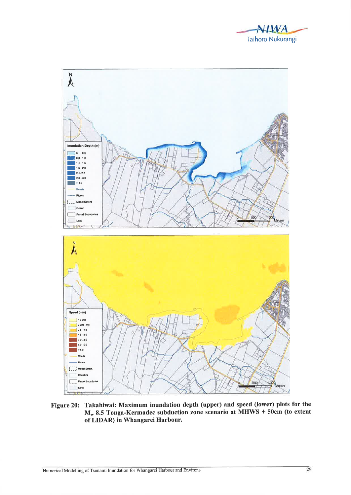



Figure 20: Takahiwai: Maximum inundation depth (upper) and speed (lower) plots for the M<sub>w</sub> 8.5 Tonga-Kermadec subduction zone scenario at MHWS + 50cm (to extent of LIDAR) in Whangarei Harbour.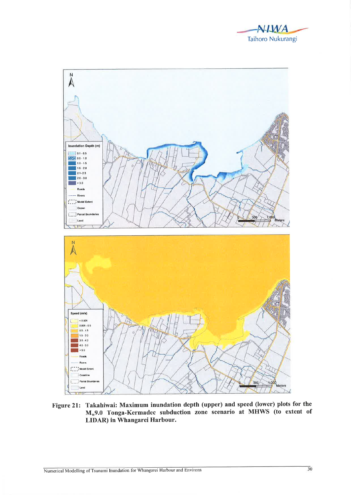



Figure 21: Takahiwai: Maximum inundation depth (upper) and speed (lower) plots for the M<sub>w</sub>9.0 Tonga-Kermadec subduction zone scenario at MHWS (to extent of LIDAR) in Whangarei Harbour.